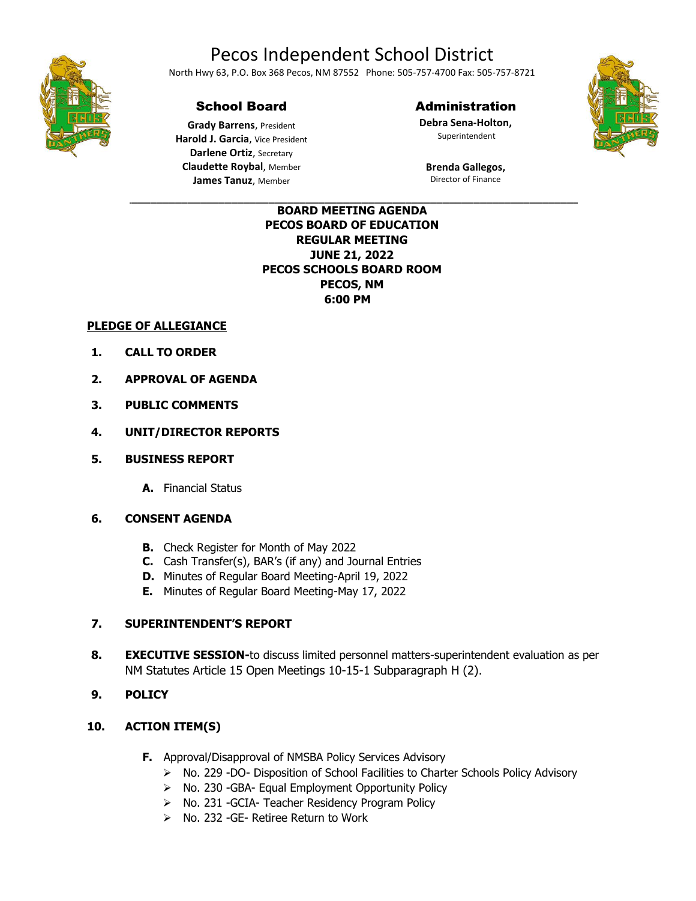# Pecos Independent School District



North Hwy 63, P.O. Box 368 Pecos, NM 87552 Phone: 505-757-4700 Fax: 505-757-8721

## School Board

**Grady Barrens**, President **Harold J. Garcia**, Vice President **Darlene Ortiz**, Secretary **Claudette Roybal**, Member **James Tanuz**, Member

### Administration

**Debra Sena-Holton,** Superintendent

**Brenda Gallegos,** Director of Finance

#### \_\_\_\_\_\_\_\_\_\_\_\_\_\_\_\_\_\_\_\_\_\_\_\_\_\_\_\_\_\_\_\_\_\_\_\_\_\_\_\_\_\_\_\_\_\_\_\_\_\_\_\_\_\_\_\_\_\_\_\_\_\_\_\_\_\_\_\_\_\_\_\_\_\_\_\_\_\_\_\_\_\_\_\_\_ **BOARD MEETING AGENDA PECOS BOARD OF EDUCATION REGULAR MEETING JUNE 21, 2022 PECOS SCHOOLS BOARD ROOM PECOS, NM 6:00 PM**

## **PLEDGE OF ALLEGIANCE**

- **1. CALL TO ORDER**
- **2. APPROVAL OF AGENDA**
- **3. PUBLIC COMMENTS**
- **4. UNIT/DIRECTOR REPORTS**
- **5. BUSINESS REPORT** 
	- **A.** Financial Status

#### **6. CONSENT AGENDA**

- **B.** Check Register for Month of May 2022
- **C.** Cash Transfer(s), BAR's (if any) and Journal Entries
- **D.** Minutes of Regular Board Meeting-April 19, 2022
- **E.** Minutes of Regular Board Meeting-May 17, 2022

#### **7. SUPERINTENDENT'S REPORT**

**8. EXECUTIVE SESSION-**to discuss limited personnel matters-superintendent evaluation as per NM Statutes Article 15 Open Meetings 10-15-1 Subparagraph H (2).

#### **9. POLICY**

#### **10. ACTION ITEM(S)**

- **F.** Approval/Disapproval of NMSBA Policy Services Advisory
	- ➢ No. 229 -DO- Disposition of School Facilities to Charter Schools Policy Advisory
	- ➢ No. 230 -GBA- Equal Employment Opportunity Policy
	- ➢ No. 231 -GCIA- Teacher Residency Program Policy
	- ➢ No. 232 -GE- Retiree Return to Work